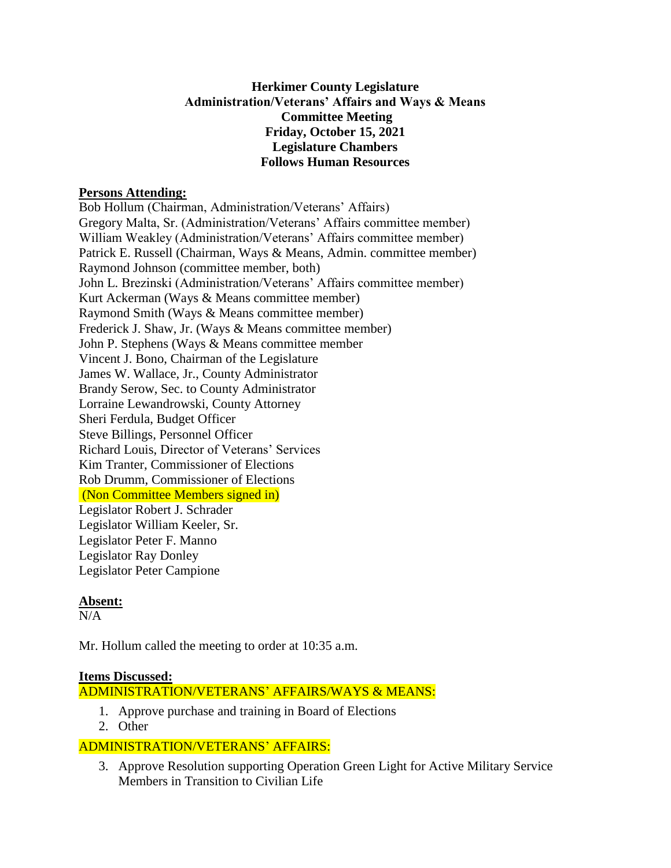## **Herkimer County Legislature Administration/Veterans' Affairs and Ways & Means Committee Meeting Friday, October 15, 2021 Legislature Chambers Follows Human Resources**

#### **Persons Attending:**

Bob Hollum (Chairman, Administration/Veterans' Affairs) Gregory Malta, Sr. (Administration/Veterans' Affairs committee member) William Weakley (Administration/Veterans' Affairs committee member) Patrick E. Russell (Chairman, Ways & Means, Admin. committee member) Raymond Johnson (committee member, both) John L. Brezinski (Administration/Veterans' Affairs committee member) Kurt Ackerman (Ways & Means committee member) Raymond Smith (Ways & Means committee member) Frederick J. Shaw, Jr. (Ways & Means committee member) John P. Stephens (Ways & Means committee member Vincent J. Bono, Chairman of the Legislature James W. Wallace, Jr., County Administrator Brandy Serow, Sec. to County Administrator Lorraine Lewandrowski, County Attorney Sheri Ferdula, Budget Officer Steve Billings, Personnel Officer Richard Louis, Director of Veterans' Services Kim Tranter, Commissioner of Elections Rob Drumm, Commissioner of Elections (Non Committee Members signed in) Legislator Robert J. Schrader Legislator William Keeler, Sr. Legislator Peter F. Manno Legislator Ray Donley Legislator Peter Campione

## **Absent:**

 $N/A$ 

Mr. Hollum called the meeting to order at 10:35 a.m.

## **Items Discussed:**

ADMINISTRATION/VETERANS' AFFAIRS/WAYS & MEANS:

- 1. Approve purchase and training in Board of Elections
- 2. Other

## ADMINISTRATION/VETERANS' AFFAIRS:

3. Approve Resolution supporting Operation Green Light for Active Military Service Members in Transition to Civilian Life